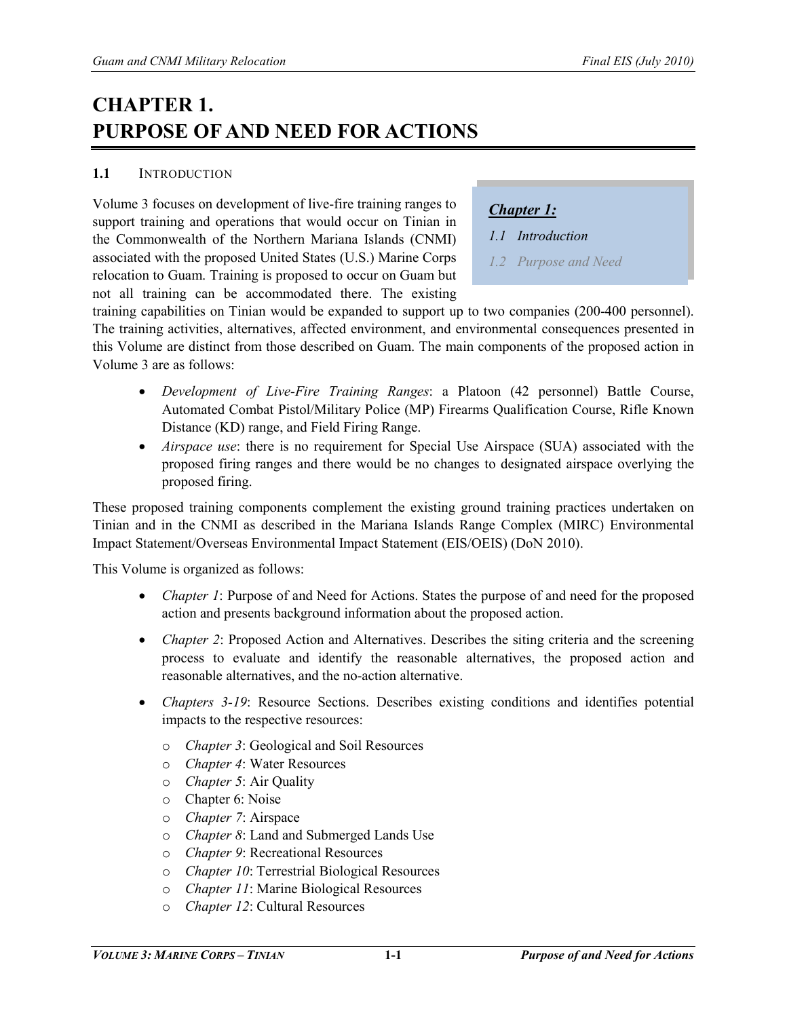# **CHAPTER 1. PURPOSE OF AND NEED FOR ACTIONS**

#### **1.1** INTRODUCTION

Volume 3 focuses on development of live-fire training ranges to support training and operations that would occur on Tinian in the Commonwealth of the Northern Mariana Islands (CNMI) associated with the proposed United States (U.S.) Marine Corps relocation to Guam. Training is proposed to occur on Guam but not all training can be accommodated there. The existing

*Chapter 1:*

*1.1 Introduction* 

*1.2 Purpose and Need* 

training capabilities on Tinian would be expanded to support up to two companies (200-400 personnel). The training activities, alternatives, affected environment, and environmental consequences presented in this Volume are distinct from those described on Guam. The main components of the proposed action in Volume 3 are as follows:

- *Development of Live-Fire Training Ranges*: a Platoon (42 personnel) Battle Course, Automated Combat Pistol/Military Police (MP) Firearms Qualification Course, Rifle Known Distance (KD) range, and Field Firing Range.
- *Airspace use*: there is no requirement for Special Use Airspace (SUA) associated with the proposed firing ranges and there would be no changes to designated airspace overlying the proposed firing.

These proposed training components complement the existing ground training practices undertaken on Tinian and in the CNMI as described in the Mariana Islands Range Complex (MIRC) Environmental Impact Statement/Overseas Environmental Impact Statement (EIS/OEIS) (DoN 2010).

This Volume is organized as follows:

- *Chapter 1*: Purpose of and Need for Actions. States the purpose of and need for the proposed action and presents background information about the proposed action.
- *Chapter 2*: Proposed Action and Alternatives. Describes the siting criteria and the screening process to evaluate and identify the reasonable alternatives, the proposed action and reasonable alternatives, and the no-action alternative.
- *Chapters 3-19*: Resource Sections. Describes existing conditions and identifies potential impacts to the respective resources:
	- o *Chapter 3*: Geological and Soil Resources
	- o *Chapter 4*: Water Resources
	- o *Chapter 5*: Air Quality
	- o Chapter 6: Noise
	- o *Chapter 7*: Airspace
	- o *Chapter 8*: Land and Submerged Lands Use
	- o *Chapter 9*: Recreational Resources
	- o *Chapter 10*: Terrestrial Biological Resources
	- o *Chapter 11*: Marine Biological Resources
	- o *Chapter 12*: Cultural Resources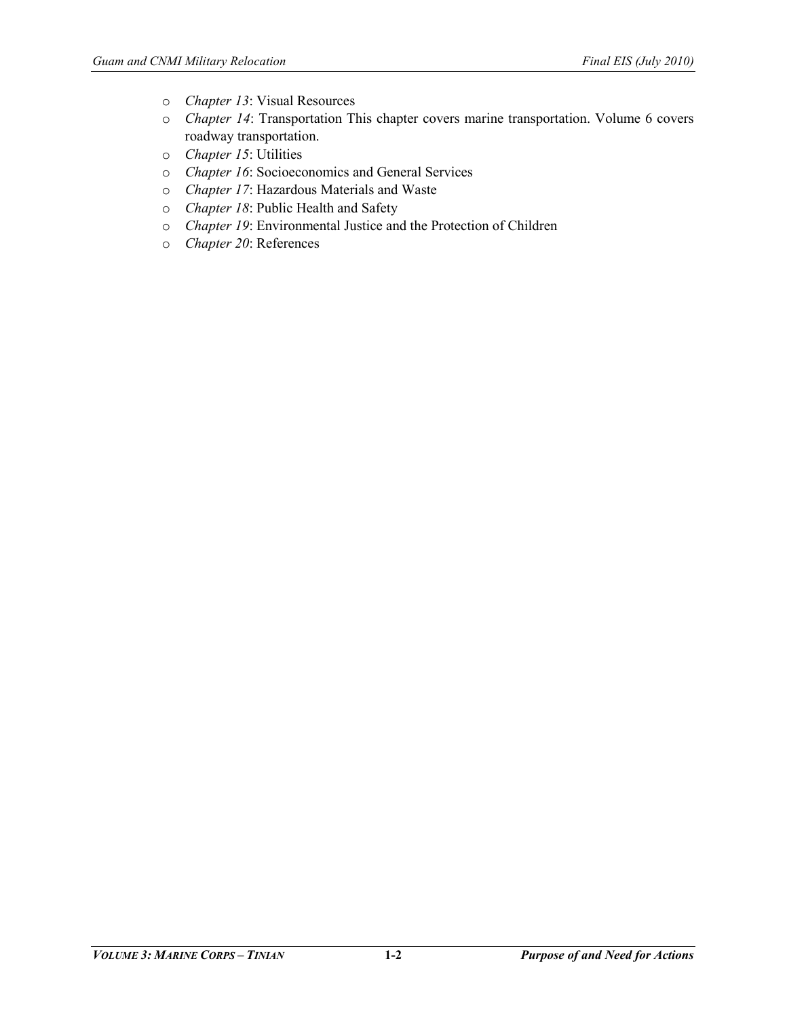- o *Chapter 13*: Visual Resources
- o *Chapter 14*: Transportation This chapter covers marine transportation. Volume 6 covers roadway transportation.
- o *Chapter 15*: Utilities
- o *Chapter 16*: Socioeconomics and General Services
- o *Chapter 17*: Hazardous Materials and Waste
- o *Chapter 18*: Public Health and Safety
- o *Chapter 19*: Environmental Justice and the Protection of Children
- o *Chapter 20*: References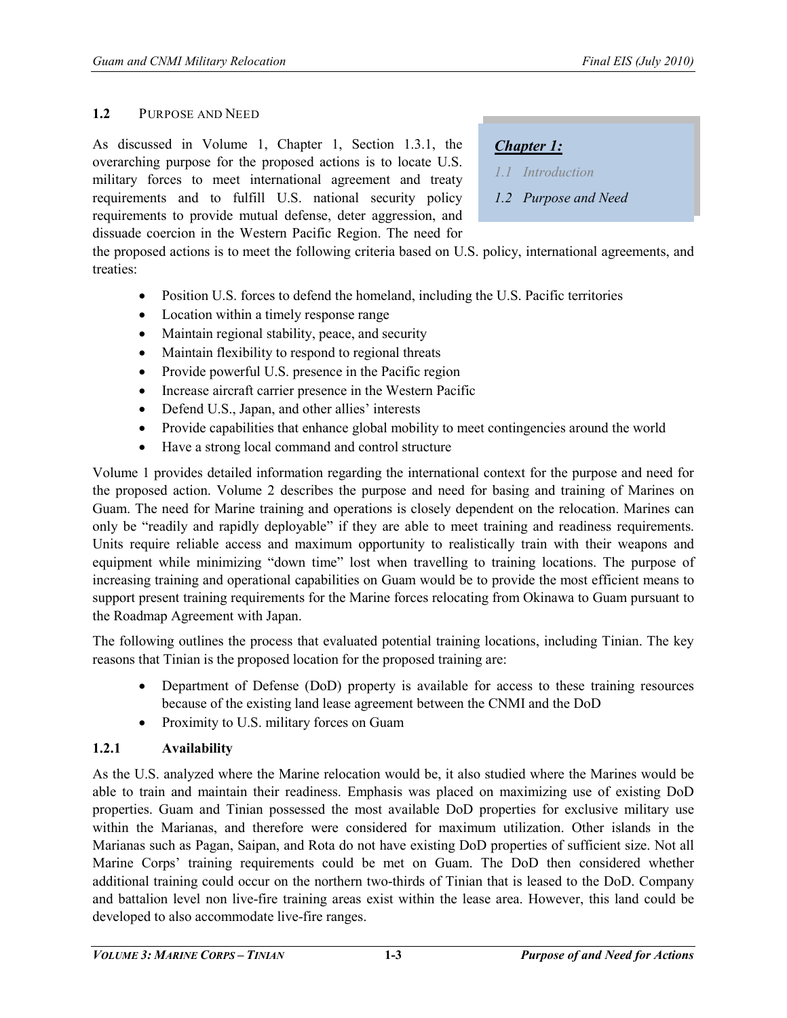#### **1.2** PURPOSE AND NEED

As discussed in Volume 1, Chapter 1, Section 1.3.1, the overarching purpose for the proposed actions is to locate U.S. military forces to meet international agreement and treaty requirements and to fulfill U.S. national security policy requirements to provide mutual defense, deter aggression, and dissuade coercion in the Western Pacific Region. The need for

## *Chapter 1:*

- *1.1 Introduction*
- *1.2 Purpose and Need*

the proposed actions is to meet the following criteria based on U.S. policy, international agreements, and treaties:

- Position U.S. forces to defend the homeland, including the U.S. Pacific territories
- Location within a timely response range
- Maintain regional stability, peace, and security
- Maintain flexibility to respond to regional threats
- Provide powerful U.S. presence in the Pacific region
- Increase aircraft carrier presence in the Western Pacific
- Defend U.S., Japan, and other allies' interests
- Provide capabilities that enhance global mobility to meet contingencies around the world
- Have a strong local command and control structure

Volume 1 provides detailed information regarding the international context for the purpose and need for the proposed action. Volume 2 describes the purpose and need for basing and training of Marines on Guam. The need for Marine training and operations is closely dependent on the relocation. Marines can only be "readily and rapidly deployable" if they are able to meet training and readiness requirements. Units require reliable access and maximum opportunity to realistically train with their weapons and equipment while minimizing "down time" lost when travelling to training locations. The purpose of increasing training and operational capabilities on Guam would be to provide the most efficient means to support present training requirements for the Marine forces relocating from Okinawa to Guam pursuant to the Roadmap Agreement with Japan.

The following outlines the process that evaluated potential training locations, including Tinian. The key reasons that Tinian is the proposed location for the proposed training are:

- Department of Defense (DoD) property is available for access to these training resources because of the existing land lease agreement between the CNMI and the DoD
- Proximity to U.S. military forces on Guam

#### **1.2.1 Availability**

As the U.S. analyzed where the Marine relocation would be, it also studied where the Marines would be able to train and maintain their readiness. Emphasis was placed on maximizing use of existing DoD properties. Guam and Tinian possessed the most available DoD properties for exclusive military use within the Marianas, and therefore were considered for maximum utilization. Other islands in the Marianas such as Pagan, Saipan, and Rota do not have existing DoD properties of sufficient size. Not all Marine Corps' training requirements could be met on Guam. The DoD then considered whether additional training could occur on the northern two-thirds of Tinian that is leased to the DoD. Company and battalion level non live-fire training areas exist within the lease area. However, this land could be developed to also accommodate live-fire ranges.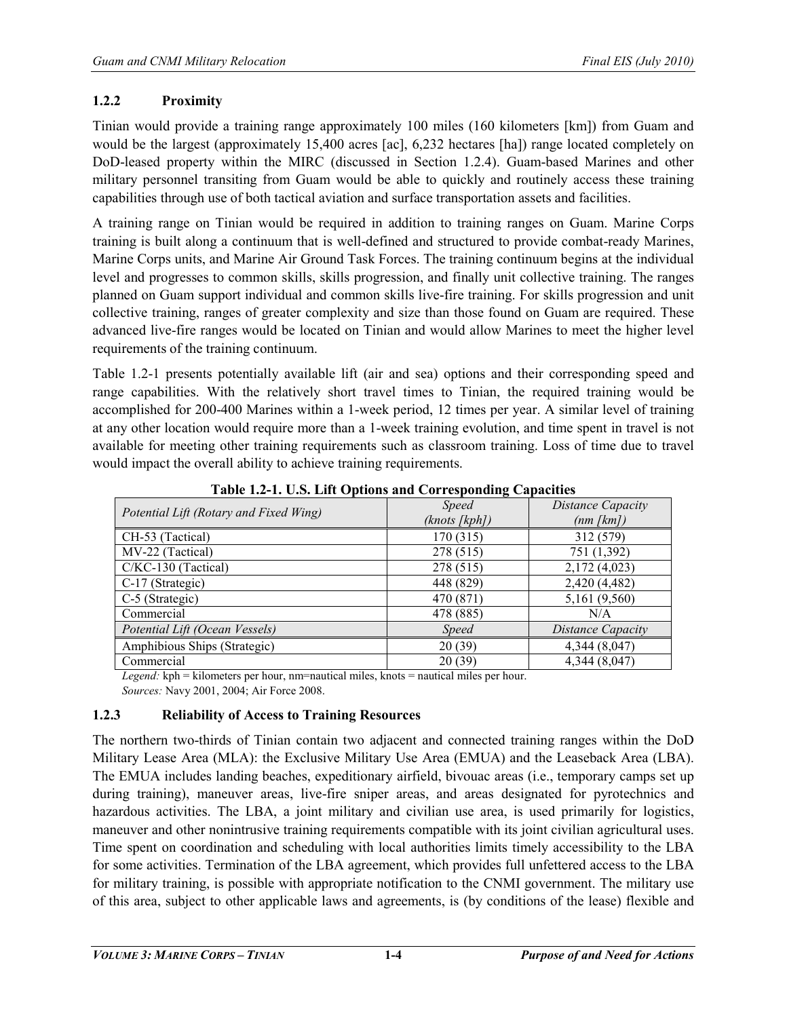## **1.2.2 Proximity**

Tinian would provide a training range approximately 100 miles (160 kilometers [km]) from Guam and would be the largest (approximately 15,400 acres [ac], 6,232 hectares [ha]) range located completely on DoD-leased property within the MIRC (discussed in Section 1.2.4). Guam-based Marines and other military personnel transiting from Guam would be able to quickly and routinely access these training capabilities through use of both tactical aviation and surface transportation assets and facilities.

A training range on Tinian would be required in addition to training ranges on Guam. Marine Corps training is built along a continuum that is well-defined and structured to provide combat-ready Marines, Marine Corps units, and Marine Air Ground Task Forces. The training continuum begins at the individual level and progresses to common skills, skills progression, and finally unit collective training. The ranges planned on Guam support individual and common skills live-fire training. For skills progression and unit collective training, ranges of greater complexity and size than those found on Guam are required. These advanced live-fire ranges would be located on Tinian and would allow Marines to meet the higher level requirements of the training continuum.

Table 1.2-1 presents potentially available lift (air and sea) options and their corresponding speed and range capabilities. With the relatively short travel times to Tinian, the required training would be accomplished for 200-400 Marines within a 1-week period, 12 times per year. A similar level of training at any other location would require more than a 1-week training evolution, and time spent in travel is not available for meeting other training requirements such as classroom training. Loss of time due to travel would impact the overall ability to achieve training requirements.

| $\frac{1}{2}$ and $\frac{1}{2}$ and $\frac{1}{2}$ and $\frac{1}{2}$ and $\frac{1}{2}$ and $\frac{1}{2}$ are $\frac{1}{2}$ and $\frac{1}{2}$ are $\frac{1}{2}$ |                               |                                            |
|---------------------------------------------------------------------------------------------------------------------------------------------------------------|-------------------------------|--------------------------------------------|
| Potential Lift (Rotary and Fixed Wing)                                                                                                                        | <b>Speed</b><br>(knots [kph]) | <b>Distance Capacity</b><br>$(nm \, [km])$ |
| CH-53 (Tactical)                                                                                                                                              | 170 (315)                     | 312 (579)                                  |
| MV-22 (Tactical)                                                                                                                                              | 278 (515)                     | 751 (1,392)                                |
| $C/KC-130$ (Tactical)                                                                                                                                         | 278 (515)                     | 2,172 (4,023)                              |
| C-17 (Strategic)                                                                                                                                              | 448 (829)                     | 2,420 (4,482)                              |
| C-5 (Strategic)                                                                                                                                               | 470 (871)                     | 5,161 (9,560)                              |
| Commercial                                                                                                                                                    | 478 (885)                     | N/A                                        |
| Potential Lift (Ocean Vessels)                                                                                                                                | <i>Speed</i>                  | Distance Capacity                          |
| Amphibious Ships (Strategic)                                                                                                                                  | 20(39)                        | 4,344 (8,047)                              |
| Commercial                                                                                                                                                    | 20(39)                        | 4,344 (8,047)                              |
|                                                                                                                                                               |                               |                                            |

**Table 1.2-1. U.S. Lift Options and Corresponding Capacities** 

*Legend:* kph = kilometers per hour, nm=nautical miles, knots = nautical miles per hour. *Sources:* Navy 2001, 2004; Air Force 2008.

## **1.2.3 Reliability of Access to Training Resources**

The northern two-thirds of Tinian contain two adjacent and connected training ranges within the DoD Military Lease Area (MLA): the Exclusive Military Use Area (EMUA) and the Leaseback Area (LBA). The EMUA includes landing beaches, expeditionary airfield, bivouac areas (i.e., temporary camps set up during training), maneuver areas, live-fire sniper areas, and areas designated for pyrotechnics and hazardous activities. The LBA, a joint military and civilian use area, is used primarily for logistics, maneuver and other nonintrusive training requirements compatible with its joint civilian agricultural uses. Time spent on coordination and scheduling with local authorities limits timely accessibility to the LBA for some activities. Termination of the LBA agreement, which provides full unfettered access to the LBA for military training, is possible with appropriate notification to the CNMI government. The military use of this area, subject to other applicable laws and agreements, is (by conditions of the lease) flexible and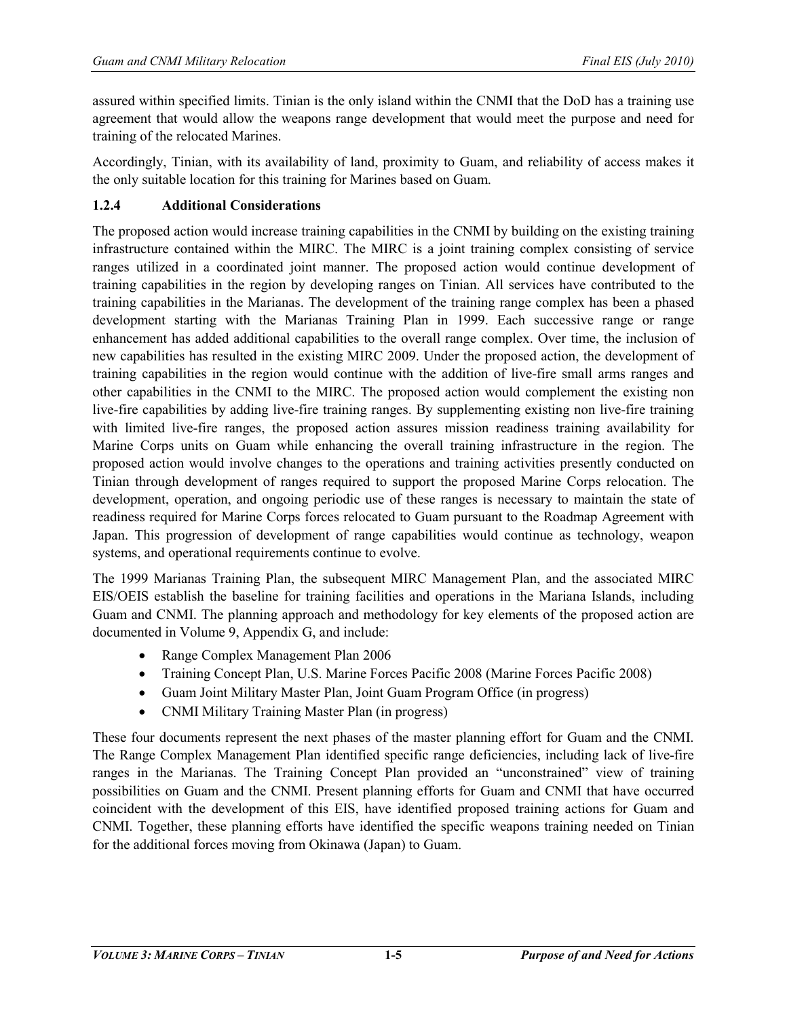assured within specified limits. Tinian is the only island within the CNMI that the DoD has a training use agreement that would allow the weapons range development that would meet the purpose and need for training of the relocated Marines.

Accordingly, Tinian, with its availability of land, proximity to Guam, and reliability of access makes it the only suitable location for this training for Marines based on Guam.

#### **1.2.4 Additional Considerations**

The proposed action would increase training capabilities in the CNMI by building on the existing training infrastructure contained within the MIRC. The MIRC is a joint training complex consisting of service ranges utilized in a coordinated joint manner. The proposed action would continue development of training capabilities in the region by developing ranges on Tinian. All services have contributed to the training capabilities in the Marianas. The development of the training range complex has been a phased development starting with the Marianas Training Plan in 1999. Each successive range or range enhancement has added additional capabilities to the overall range complex. Over time, the inclusion of new capabilities has resulted in the existing MIRC 2009. Under the proposed action, the development of training capabilities in the region would continue with the addition of live-fire small arms ranges and other capabilities in the CNMI to the MIRC. The proposed action would complement the existing non live-fire capabilities by adding live-fire training ranges. By supplementing existing non live-fire training with limited live-fire ranges, the proposed action assures mission readiness training availability for Marine Corps units on Guam while enhancing the overall training infrastructure in the region. The proposed action would involve changes to the operations and training activities presently conducted on Tinian through development of ranges required to support the proposed Marine Corps relocation. The development, operation, and ongoing periodic use of these ranges is necessary to maintain the state of readiness required for Marine Corps forces relocated to Guam pursuant to the Roadmap Agreement with Japan. This progression of development of range capabilities would continue as technology, weapon systems, and operational requirements continue to evolve.

The 1999 Marianas Training Plan, the subsequent MIRC Management Plan, and the associated MIRC EIS/OEIS establish the baseline for training facilities and operations in the Mariana Islands, including Guam and CNMI. The planning approach and methodology for key elements of the proposed action are documented in Volume 9, Appendix G, and include:

- Range Complex Management Plan 2006
- Training Concept Plan, U.S. Marine Forces Pacific 2008 (Marine Forces Pacific 2008)
- Guam Joint Military Master Plan, Joint Guam Program Office (in progress)
- CNMI Military Training Master Plan (in progress)

These four documents represent the next phases of the master planning effort for Guam and the CNMI. The Range Complex Management Plan identified specific range deficiencies, including lack of live-fire ranges in the Marianas. The Training Concept Plan provided an "unconstrained" view of training possibilities on Guam and the CNMI. Present planning efforts for Guam and CNMI that have occurred coincident with the development of this EIS, have identified proposed training actions for Guam and CNMI. Together, these planning efforts have identified the specific weapons training needed on Tinian for the additional forces moving from Okinawa (Japan) to Guam.